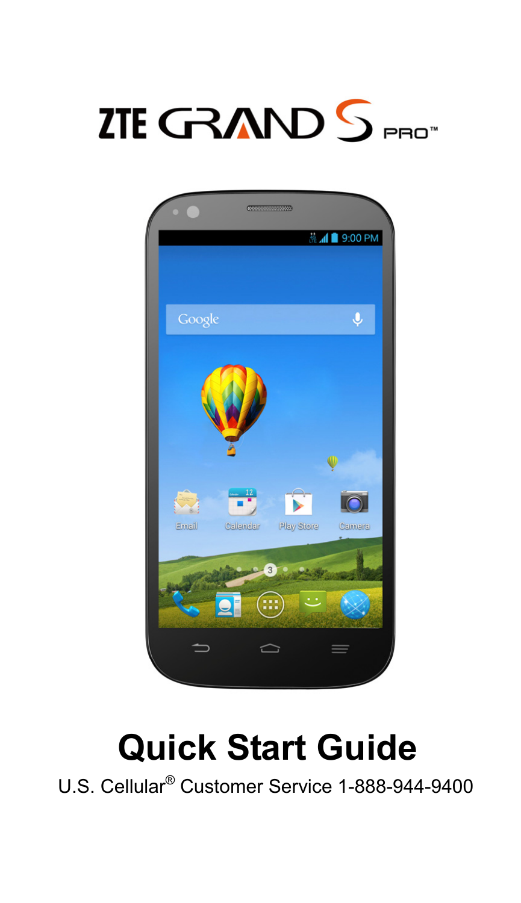



# **Quick Start Guide**

U.S. Cellular® Customer Service 1-888-944-9400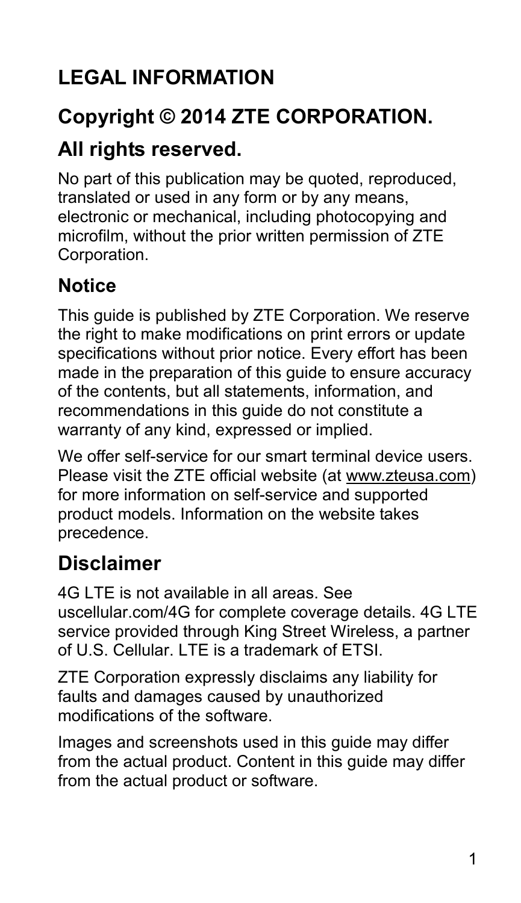### **LEGAL INFORMATION**

#### **Copyright © 2014 ZTE CORPORATION.**

#### **All rights reserved.**

No part of this publication may be quoted, reproduced, translated or used in any form or by any means, electronic or mechanical, including photocopying and microfilm, without the prior written permission of ZTE Corporation.

#### **Notice**

This guide is published by ZTE Corporation. We reserve the right to make modifications on print errors or update specifications without prior notice. Every effort has been made in the preparation of this guide to ensure accuracy of the contents, but all statements, information, and recommendations in this guide do not constitute a warranty of any kind, expressed or implied.

We offer self-service for our smart terminal device users. Please visit the ZTE official website (at www.zteusa.com) for more information on self-service and supported product models. Information on the website takes precedence.

### **Disclaimer**

4G LTE is not available in all areas. See uscellular.com/4G for complete coverage details. 4G LTE service provided through King Street Wireless, a partner of U.S. Cellular. LTE is a trademark of ETSI.

ZTE Corporation expressly disclaims any liability for faults and damages caused by unauthorized modifications of the software.

Images and screenshots used in this guide may differ from the actual product. Content in this guide may differ from the actual product or software.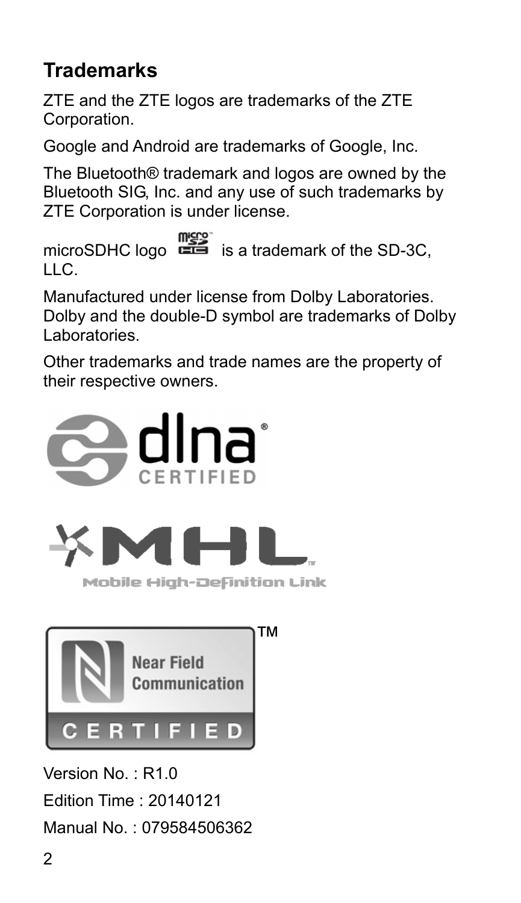#### **Trademarks**

ZTE and the ZTE logos are trademarks of the ZTE Corporation.

Google and Android are trademarks of Google, Inc.

The Bluetooth® trademark and logos are owned by the Bluetooth SIG, Inc. and any use of such trademarks by ZTE Corporation is under license.

 $\frac{m \cdot \cos}{m \cdot \sin}$  is a trademark of the SD-3C, LLC.

Manufactured under license from Dolby Laboratories. Dolby and the double-D symbol are trademarks of Dolby Laboratories.

Other trademarks and trade names are the property of their respective owners.



Mobile High-Definition Link



Version No. : R1.0

Edition Time : 20140121

Manual No. : 079584506362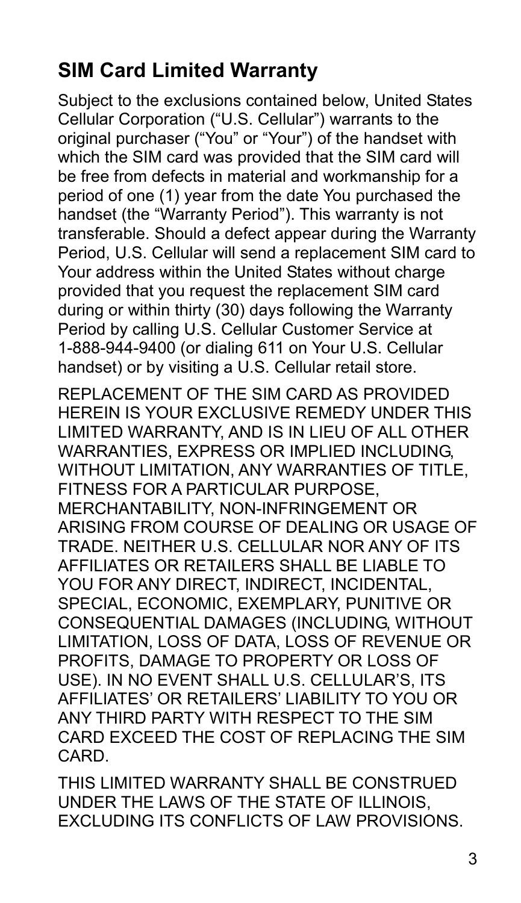### **SIM Card Limited Warranty**

Subject to the exclusions contained below, United States Cellular Corporation ("U.S. Cellular") warrants to the original purchaser ("You" or "Your") of the handset with which the SIM card was provided that the SIM card will be free from defects in material and workmanship for a period of one (1) year from the date You purchased the handset (the "Warranty Period"). This warranty is not transferable. Should a defect appear during the Warranty Period, U.S. Cellular will send a replacement SIM card to Your address within the United States without charge provided that you request the replacement SIM card during or within thirty (30) days following the Warranty Period by calling U.S. Cellular Customer Service at 1-888-944-9400 (or dialing 611 on Your U.S. Cellular handset) or by visiting a U.S. Cellular retail store.

REPLACEMENT OF THE SIM CARD AS PROVIDED HEREIN IS YOUR EXCLUSIVE REMEDY UNDER THIS LIMITED WARRANTY, AND IS IN LIEU OF ALL OTHER WARRANTIES, EXPRESS OR IMPLIED INCLUDING, WITHOUT LIMITATION, ANY WARRANTIES OF TITLE. FITNESS FOR A PARTICULAR PURPOSE MERCHANTABILITY, NON-INFRINGEMENT OR ARISING FROM COURSE OF DEALING OR USAGE OF TRADE. NEITHER U.S. CELLULAR NOR ANY OF ITS AFFILIATES OR RETAILERS SHALL BE LIABLE TO YOU FOR ANY DIRECT, INDIRECT, INCIDENTAL, SPECIAL, ECONOMIC, EXEMPLARY, PUNITIVE OR CONSEQUENTIAL DAMAGES (INCLUDING, WITHOUT LIMITATION, LOSS OF DATA, LOSS OF REVENUE OR PROFITS, DAMAGE TO PROPERTY OR LOSS OF USE). IN NO EVENT SHALL U.S. CELLULAR'S, ITS AFFILIATES' OR RETAILERS' LIABILITY TO YOU OR ANY THIRD PARTY WITH RESPECT TO THE SIM CARD EXCEED THE COST OF REPLACING THE SIM CARD.

THIS LIMITED WARRANTY SHALL BE CONSTRUED UNDER THE LAWS OF THE STATE OF ILLINOIS, EXCLUDING ITS CONFLICTS OF LAW PROVISIONS.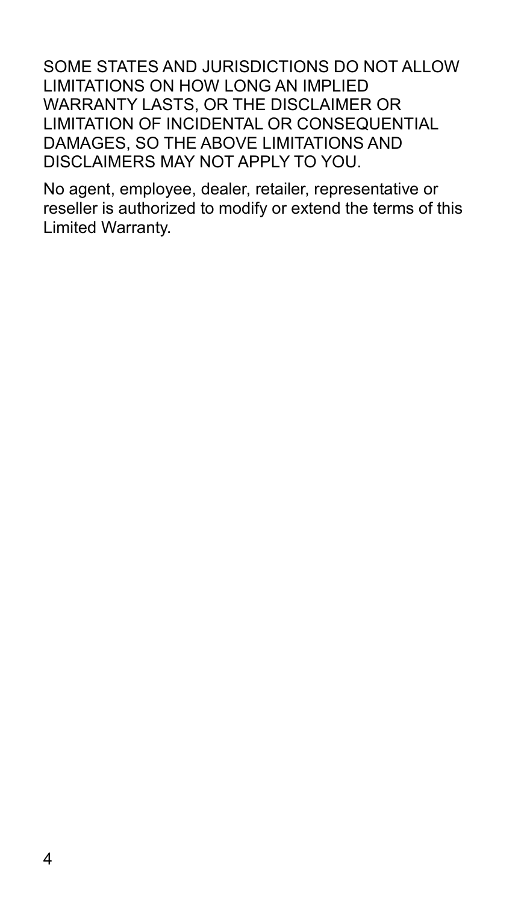SOME STATES AND JURISDICTIONS DO NOT ALLOW LIMITATIONS ON HOW LONG AN IMPLIED WARRANTY LASTS, OR THE DISCLAIMER OR LIMITATION OF INCIDENTAL OR CONSEQUENTIAL DAMAGES, SO THE ABOVE LIMITATIONS AND DISCLAIMERS MAY NOT APPLY TO YOU.

No agent, employee, dealer, retailer, representative or reseller is authorized to modify or extend the terms of this Limited Warranty.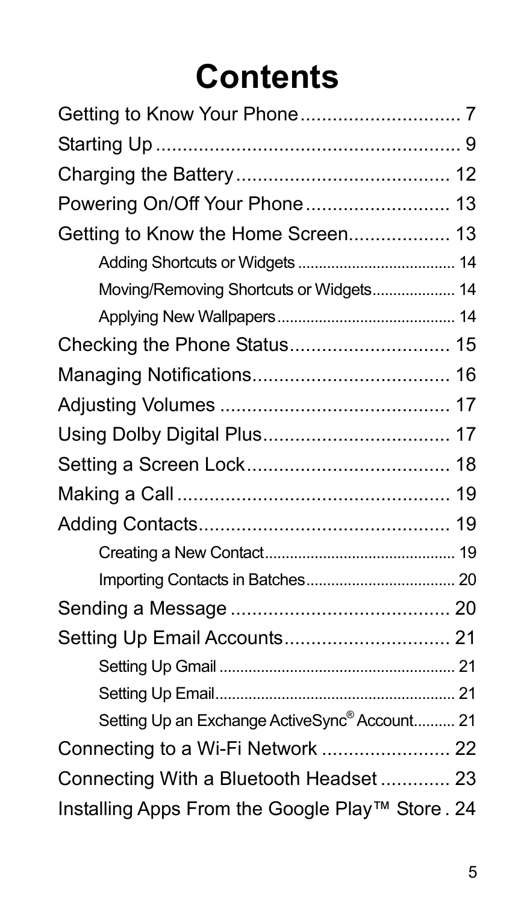# **Contents**

| Powering On/Off Your Phone 13                             |  |
|-----------------------------------------------------------|--|
| Getting to Know the Home Screen 13                        |  |
|                                                           |  |
| Moving/Removing Shortcuts or Widgets 14                   |  |
|                                                           |  |
|                                                           |  |
|                                                           |  |
|                                                           |  |
|                                                           |  |
|                                                           |  |
|                                                           |  |
|                                                           |  |
|                                                           |  |
|                                                           |  |
|                                                           |  |
| Setting Up Email Accounts 21                              |  |
|                                                           |  |
|                                                           |  |
| Setting Up an Exchange ActiveSync <sup>®</sup> Account 21 |  |
| Connecting to a Wi-Fi Network  22                         |  |
| Connecting With a Bluetooth Headset 23                    |  |
| Installing Apps From the Google Play™ Store. 24           |  |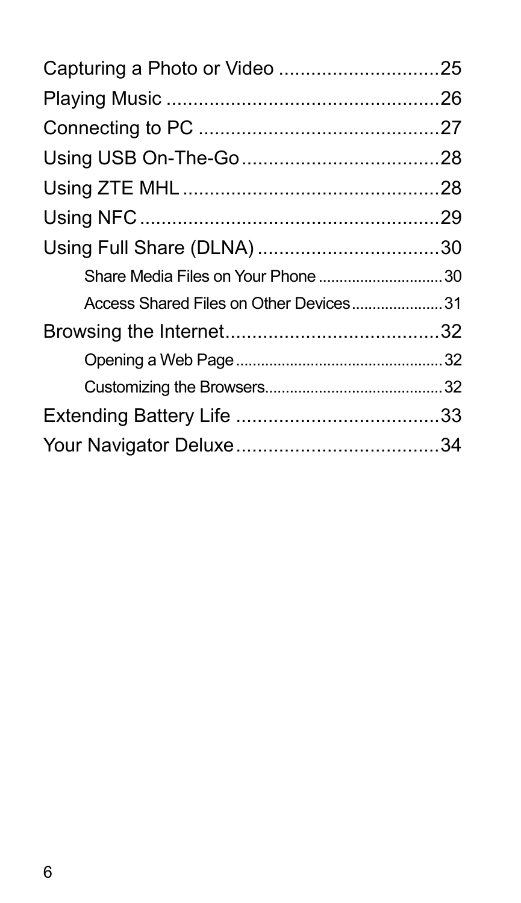| Share Media Files on Your Phone 30      |  |  |
|-----------------------------------------|--|--|
| Access Shared Files on Other Devices 31 |  |  |
|                                         |  |  |
|                                         |  |  |
|                                         |  |  |
|                                         |  |  |
|                                         |  |  |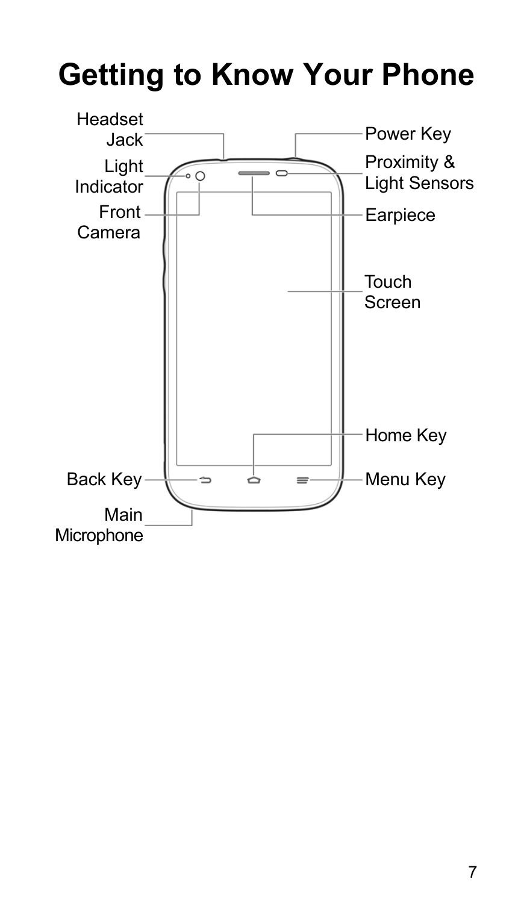## **Getting to Know Your Phone**

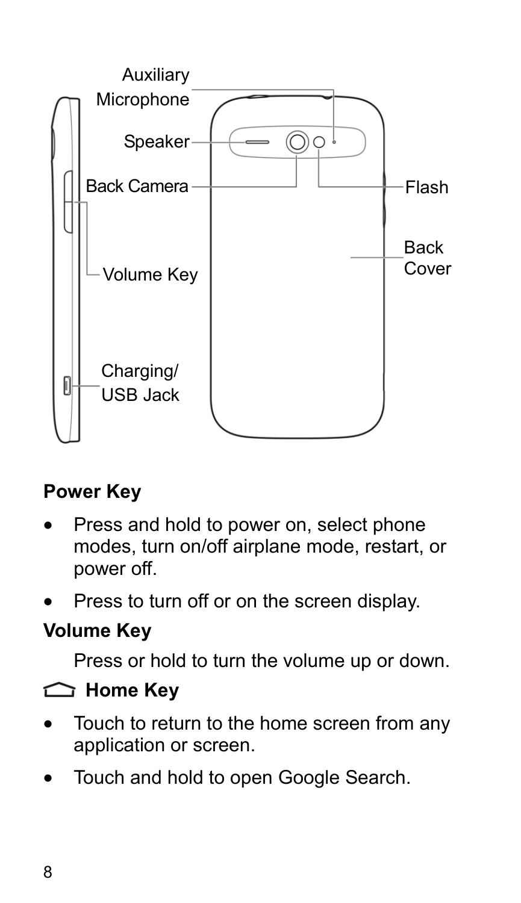

#### **Power Key**

- Press and hold to power on, select phone modes, turn on/off airplane mode, restart, or power off.
- Press to turn off or on the screen display.

#### **Volume Key**

Press or hold to turn the volume up or down.

#### **Home Key**

- Touch to return to the home screen from any application or screen.
- Touch and hold to open Google Search.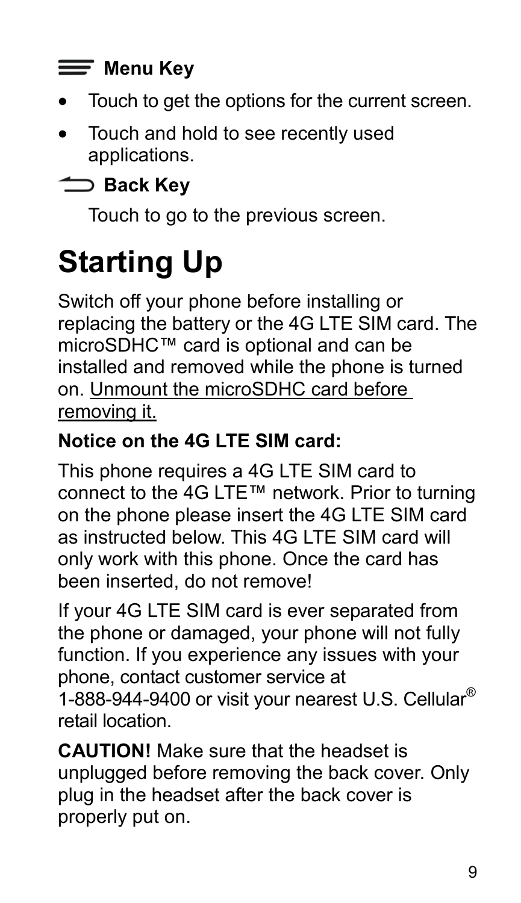#### $\equiv$  Menu Key

- Touch to get the options for the current screen.
- Touch and hold to see recently used applications.

### **Back Key**

Touch to go to the previous screen.

## **Starting Up**

Switch off your phone before installing or replacing the battery or the 4G LTE SIM card. The microSDHC™ card is optional and can be installed and removed while the phone is turned on. Unmount the microSDHC card before removing it.

#### **Notice on the 4G LTE SIM card:**

This phone requires a 4G LTE SIM card to connect to the 4G LTE™ network. Prior to turning on the phone please insert the 4G LTE SIM card as instructed below. This 4G LTE SIM card will only work with this phone. Once the card has been inserted, do not remove!

If your 4G LTE SIM card is ever separated from the phone or damaged, your phone will not fully function. If you experience any issues with your phone, contact customer service at 1-888-944-9400 or visit your nearest U.S. Cellular® retail location.

**CAUTION!** Make sure that the headset is unplugged before removing the back cover. Only plug in the headset after the back cover is properly put on.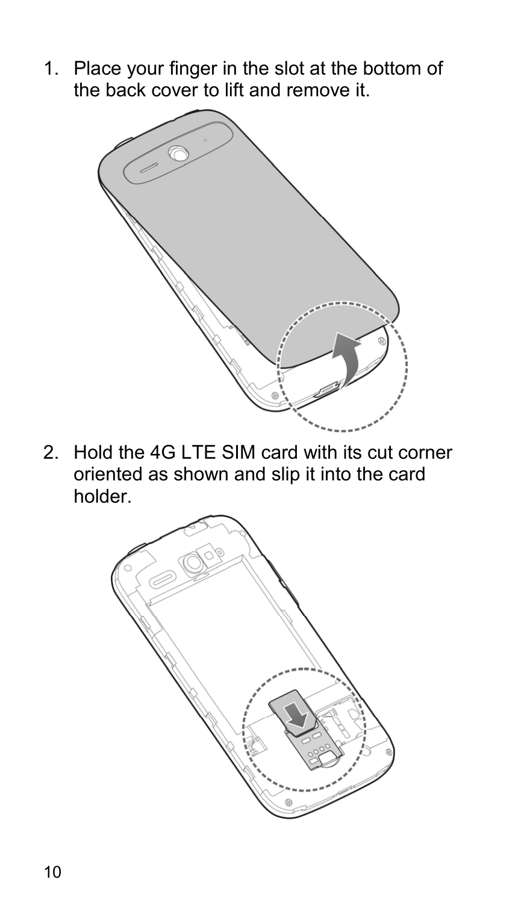1. Place your finger in the slot at the bottom of the back cover to lift and remove it.



2. Hold the 4G LTE SIM card with its cut corner oriented as shown and slip it into the card holder.

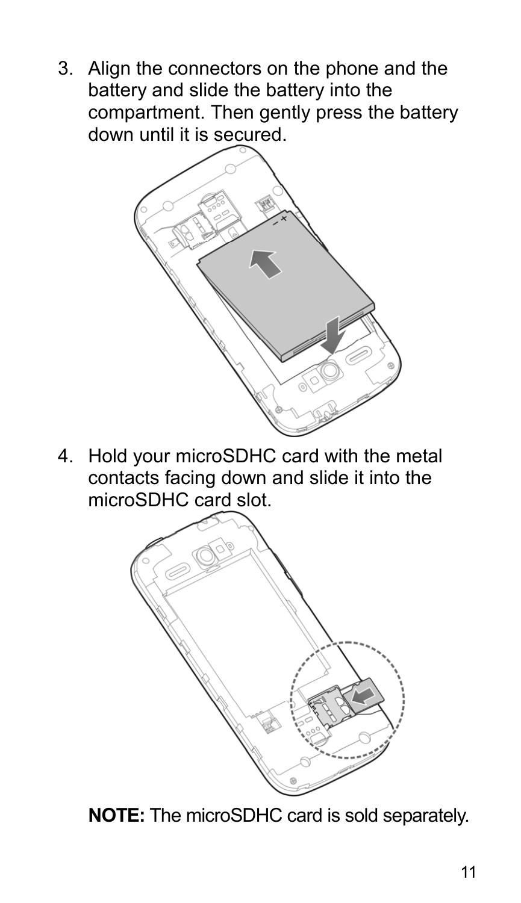3. Align the connectors on the phone and the battery and slide the battery into the compartment. Then gently press the battery down until it is secured.



4. Hold your microSDHC card with the metal contacts facing down and slide it into the microSDHC card slot.



**NOTE:** The microSDHC card is sold separately.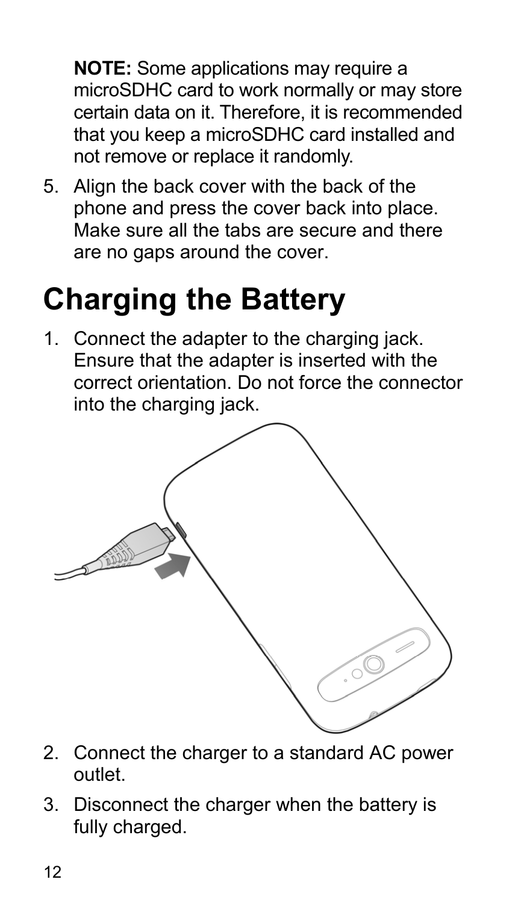**NOTE:** Some applications may require a microSDHC card to work normally or may store certain data on it. Therefore, it is recommended that you keep a microSDHC card installed and not remove or replace it randomly.

5. Align the back cover with the back of the phone and press the cover back into place. Make sure all the tabs are secure and there are no gaps around the cover.

## **Charging the Battery**

1. Connect the adapter to the charging jack. Ensure that the adapter is inserted with the correct orientation. Do not force the connector into the charging jack.



- 2. Connect the charger to a standard AC power outlet.
- 3. Disconnect the charger when the battery is fully charged.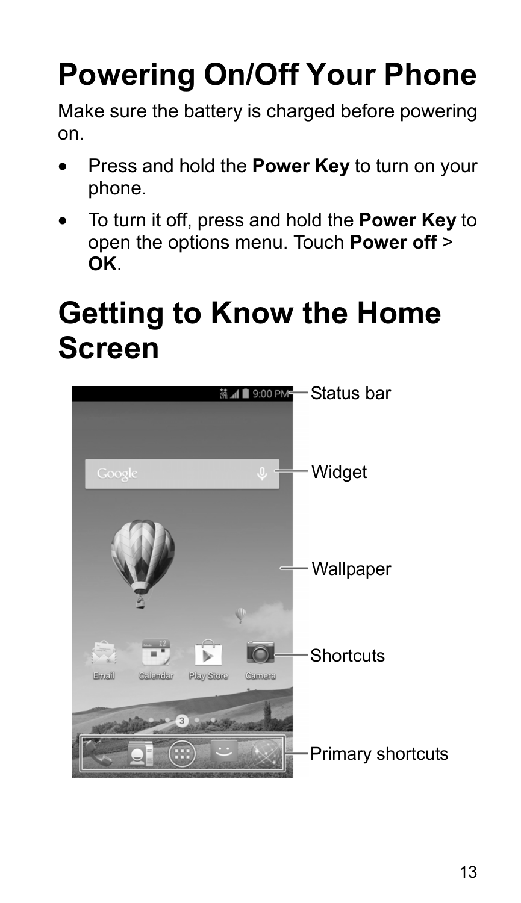# **Powering On/Off Your Phone**

Make sure the battery is charged before powering on.

- Press and hold the **Power Key** to turn on your phone.
- To turn it off, press and hold the **Power Key** to open the options menu. Touch **Power off** > **OK**.

## **Getting to Know the Home Screen**

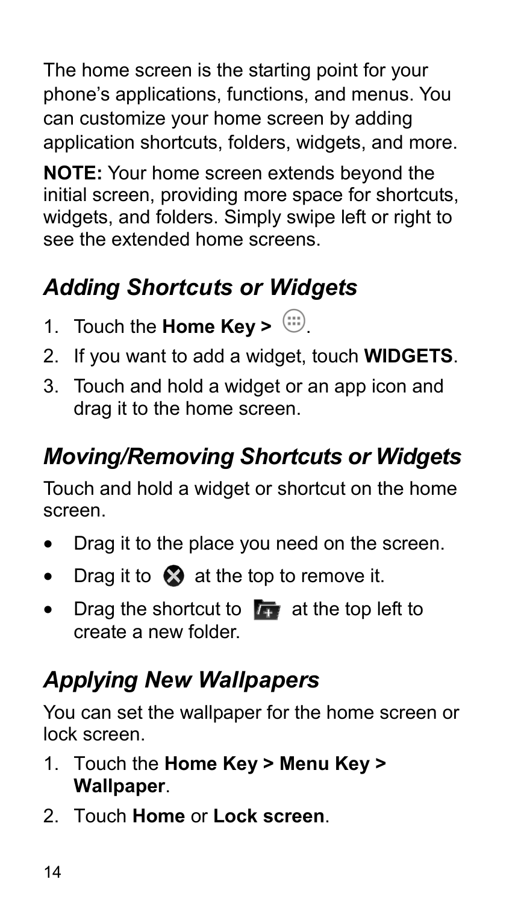The home screen is the starting point for your phone's applications, functions, and menus. You can customize your home screen by adding application shortcuts, folders, widgets, and more.

**NOTE:** Your home screen extends beyond the initial screen, providing more space for shortcuts. widgets, and folders. Simply swipe left or right to see the extended home screens.

### *Adding Shortcuts or Widgets*

- 1. Touch the **Home Key** >  $\Box$
- 2. If you want to add a widget, touch **WIDGETS**.
- 3. Touch and hold a widget or an app icon and drag it to the home screen.

### *Moving/Removing Shortcuts or Widgets*

Touch and hold a widget or shortcut on the home screen.

- Drag it to the place you need on the screen.
- $\bullet$  Drag it to  $\bullet$  at the top to remove it.
- $\bullet$  Drag the shortcut to  $\bullet$  at the top left to create a new folder.

### *Applying New Wallpapers*

You can set the wallpaper for the home screen or lock screen.

- 1. Touch the **Home Key > Menu Key > Wallpaper**.
- 2. Touch **Home** or **Lock screen**.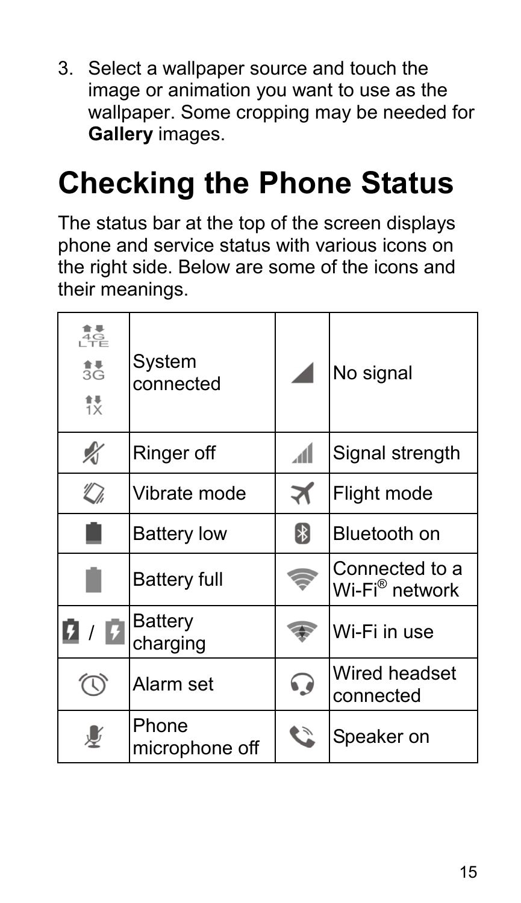3. Select a wallpaper source and touch the image or animation you want to use as the wallpaper. Some cropping may be needed for **Gallery** images.

## **Checking the Phone Status**

The status bar at the top of the screen displays phone and service status with various icons on the right side. Below are some of the icons and their meanings.

| $\frac{4}{3}$ G<br>詜 | System<br>connected     |    | No signal                        |
|----------------------|-------------------------|----|----------------------------------|
| ∦                    | Ringer off              | ال | Signal strength                  |
| $\mathbb{Z}$         | Vibrate mode            | ৰ  | Flight mode                      |
|                      | <b>Battery low</b>      | 8  | Bluetooth on                     |
|                      | <b>Battery full</b>     |    | Connected to a<br>Wi-Fi® network |
| n                    | Battery<br>charging     |    | Wi-Fi in use                     |
|                      | Alarm set               | 63 | Wired headset<br>connected       |
|                      | Phone<br>microphone off | ど  | Speaker on                       |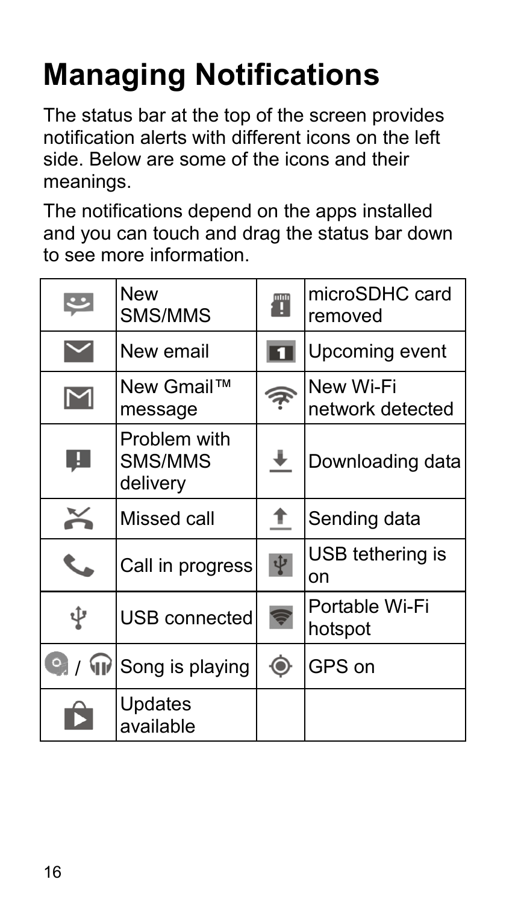# **Managing Notifications**

The status bar at the top of the screen provides notification alerts with different icons on the left side. Below are some of the icons and their meanings.

The notifications depend on the apps installed and you can touch and drag the status bar down to see more information.

|   | New<br>SMS/MMS                      | T              | microSDHC card<br>removed     |
|---|-------------------------------------|----------------|-------------------------------|
|   | New email                           |                | Upcoming event                |
| M | New Gmail™<br>message               | 7              | New Wi-Fi<br>network detected |
| Ø | Problem with<br>SMS/MMS<br>delivery | ť              | Downloading data              |
|   | Missed call                         | T              | Sending data                  |
|   | Call in progress                    | Ŷ              | USB tethering is<br>on        |
| ψ | USB connected                       |                | Portable Wi-Fi<br>hotspot     |
|   | Song is playing                     | $\circledcirc$ | GPS on                        |
|   | Updates<br>available                |                |                               |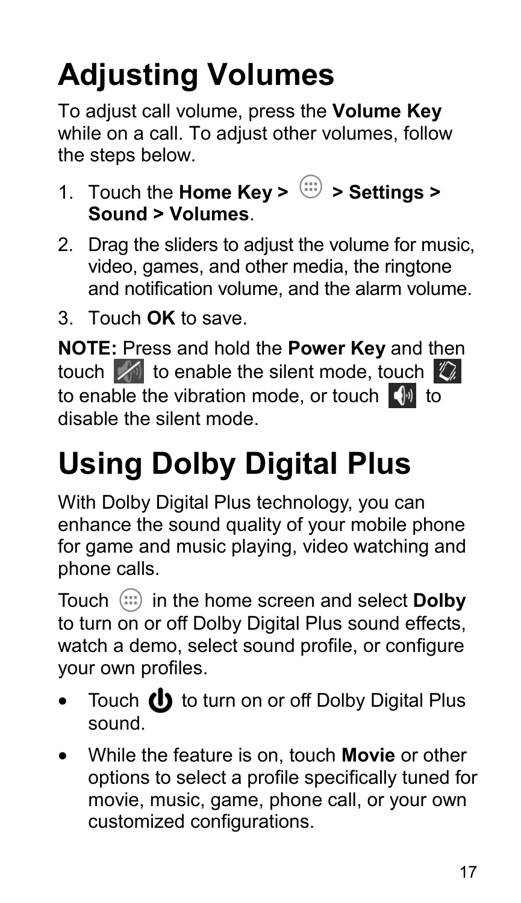# **Adjusting Volumes**

To adjust call volume, press the **Volume Key** while on a call. To adiust other volumes, follow the steps below.

- 1. Touch the **Home Key > > Settings > Sound > Volumes**.
- 2. Drag the sliders to adjust the volume for music, video, games, and other media, the ringtone and notification volume, and the alarm volume.
- 3. Touch **OK** to save.

**NOTE:** Press and hold the **Power Key** and then touch  $\sqrt{\ }$  to enable the silent mode, touch  $\sqrt[n]{\ }$ to enable the vibration mode, or touch  $\Box$  to disable the silent mode.

# **Using Dolby Digital Plus**

With Dolby Digital Plus technology, you can enhance the sound quality of your mobile phone for game and music playing, video watching and phone calls.

Touch in the home screen and select **Dolby** to turn on or off Dolby Digital Plus sound effects. watch a demo, select sound profile, or configure your own profiles.

- Touch  $\bigcirc$  to turn on or off Dolby Digital Plus sound.
- While the feature is on, touch **Movie** or other options to select a profile specifically tuned for movie, music, game, phone call, or your own customized configurations.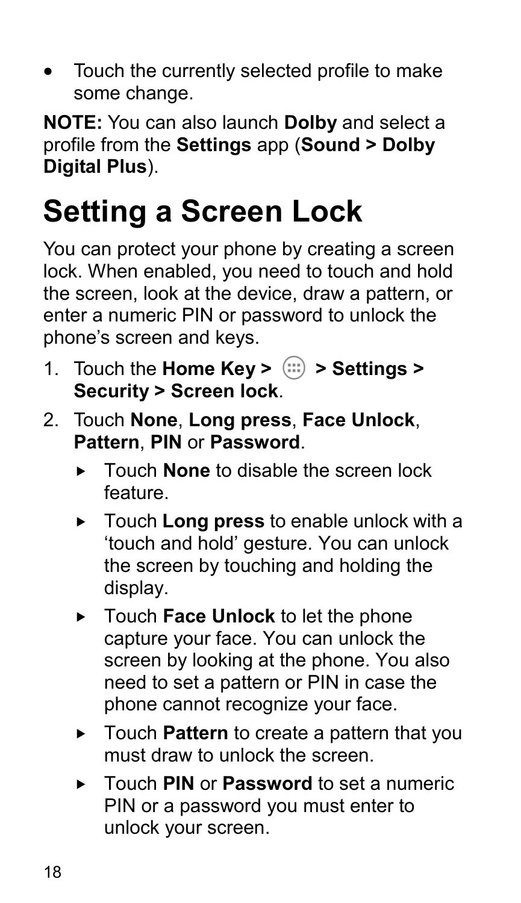• Touch the currently selected profile to make some change.

**NOTE:** You can also launch **Dolby** and select a profile from the **Settings** app (**Sound > Dolby Digital Plus**).

## **Setting a Screen Lock**

You can protect your phone by creating a screen lock. When enabled, you need to touch and hold the screen, look at the device, draw a pattern, or enter a numeric PIN or password to unlock the phone's screen and keys.

- 1. Touch the **Home Key >**  $\left(\frac{1}{10}\right)$  **> Settings > Security > Screen lock**.
- 2. Touch **None**, **Long press**, **Face Unlock**, **Pattern**, **PIN** or **Password**.
	- **F** Touch **None** to disable the screen lock feature.
	- Touch **Long press** to enable unlock with a 'touch and hold' gesture. You can unlock the screen by touching and holding the display.
	- ▶ Touch **Face Unlock** to let the phone capture your face. You can unlock the screen by looking at the phone. You also need to set a pattern or PIN in case the phone cannot recognize your face.
	- ► Touch **Pattern** to create a pattern that you must draw to unlock the screen
	- Touch **PIN** or **Password** to set a numeric PIN or a password you must enter to unlock your screen.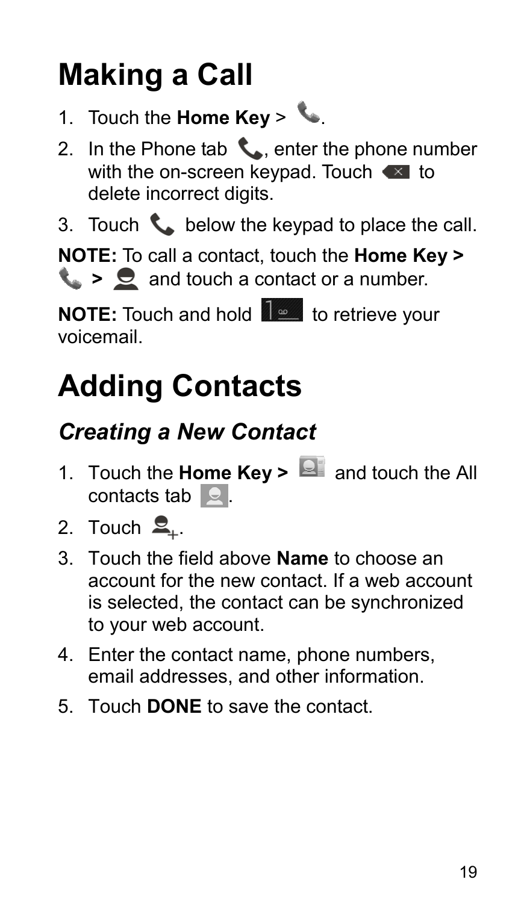# **Making a Call**

- 1. Touch the **Home Key** >  $\mathbf{L}$ .
- 2. In the Phone tab  $\leftarrow$ , enter the phone number with the on-screen keypad. Touch  $\bullet$  to delete incorrect digits.
- 3. Touch  $\mathcal{L}_{\bullet}$  below the keypad to place the call.

**NOTE:** To call a contact, touch the **Home Key > L** >  $\mathbf{\Omega}$  and touch a contact or a number.

**NOTE:** Touch and hold **the last to retrieve your** voicemail.

## **Adding Contacts**

### *Creating a New Contact*

- 1. Touch the **Home Key > and touch the All** contacts tab  $\Box$ .
- 2. Touch  $\mathbf{Q}_{\perp}$ .
- 3. Touch the field above **Name** to choose an account for the new contact. If a web account is selected, the contact can be synchronized to your web account.
- 4. Enter the contact name, phone numbers, email addresses, and other information.
- 5. Touch **DONE** to save the contact.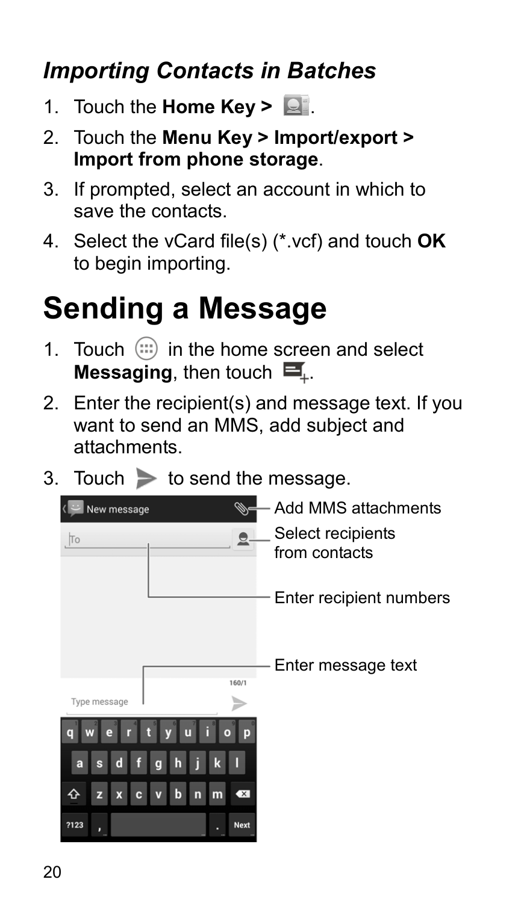### *Importing Contacts in Batches*

- 1. Touch the **Home Key >**  $\Box$ .
- 2. Touch the **Menu Key > Import/export > Import from phone storage**.
- 3. If prompted, select an account in which to save the contacts.
- 4. Select the vCard file(s) (\*.vcf) and touch **OK** to begin importing.

## **Sending a Message**

- 1. Touch  $\left(\mathbb{I}\right)$  in the home screen and select **Messaging**, then touch  $\mathbf{E}$ .
- 2. Enter the recipient(s) and message text. If you want to send an MMS, add subject and attachments.
- 3. Touch  $\triangleright$  to send the message.

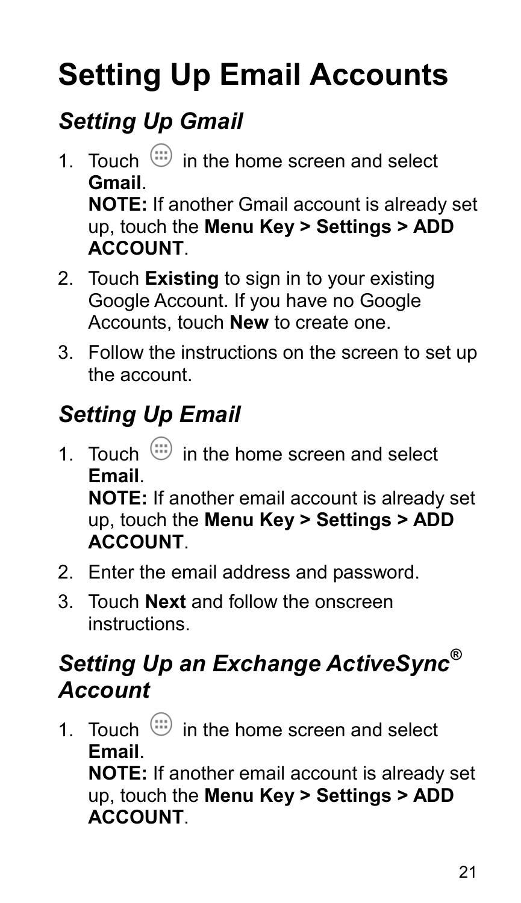# **Setting Up Email Accounts**

### *Setting Up Gmail*

- 1. Touch  $\lim_{x\to 0}$  in the home screen and select **Gmail**. **NOTE:** If another Gmail account is already set up, touch the **Menu Key > Settings > ADD ACCOUNT**.
- 2. Touch **Existing** to sign in to your existing Google Account. If you have no Google Accounts, touch **New** to create one.
- 3. Follow the instructions on the screen to set up the account.

### *Setting Up Email*

1. Touch  $\binom{11}{11}$  in the home screen and select **Email**.

**NOTE:** If another email account is already set up, touch the **Menu Key > Settings > ADD ACCOUNT**.

- 2. Enter the email address and password.
- 3. Touch **Next** and follow the onscreen instructions.

### *Setting Up an Exchange ActiveSync® Account*

1. Touch  $\binom{11}{11}$  in the home screen and select **Email**.

**NOTE:** If another email account is already set up, touch the **Menu Key > Settings > ADD ACCOUNT**.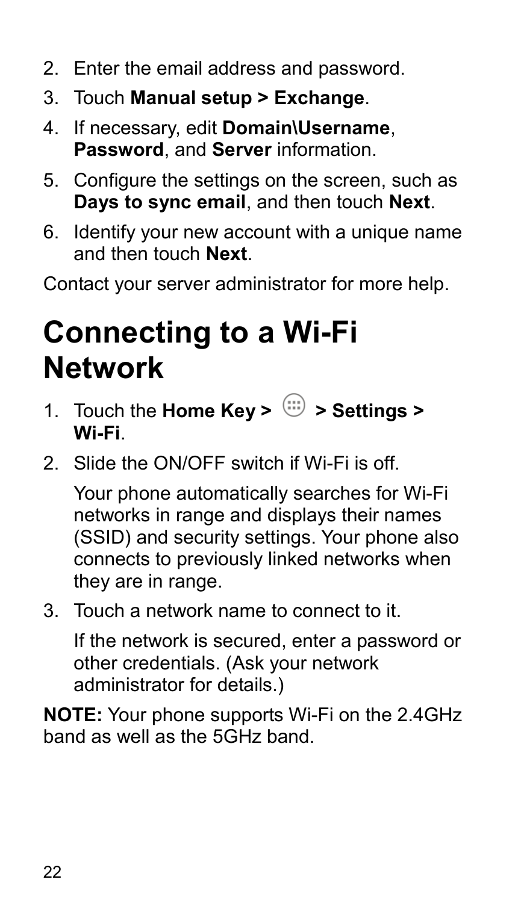- 2. Enter the email address and password.
- 3. Touch **Manual setup > Exchange**.
- 4. If necessary, edit **Domain\Username**, **Password**, and **Server** information.
- 5. Configure the settings on the screen, such as **Days to sync email**, and then touch **Next**.
- 6. Identify your new account with a unique name and then touch **Next**.

Contact your server administrator for more help.

## **Connecting to a Wi-Fi Network**

- 1. Touch the **Home Key >**  $\lim_{x \to 0}$  **> Settings > Wi-Fi**.
- 2. Slide the ON/OFF switch if Wi-Fi is off.

Your phone automatically searches for Wi-Fi networks in range and displays their names (SSID) and security settings. Your phone also connects to previously linked networks when they are in range.

3. Touch a network name to connect to it.

If the network is secured, enter a password or other credentials. (Ask your network administrator for details.)

**NOTE:** Your phone supports Wi-Fi on the 2.4GHz band as well as the 5GHz band.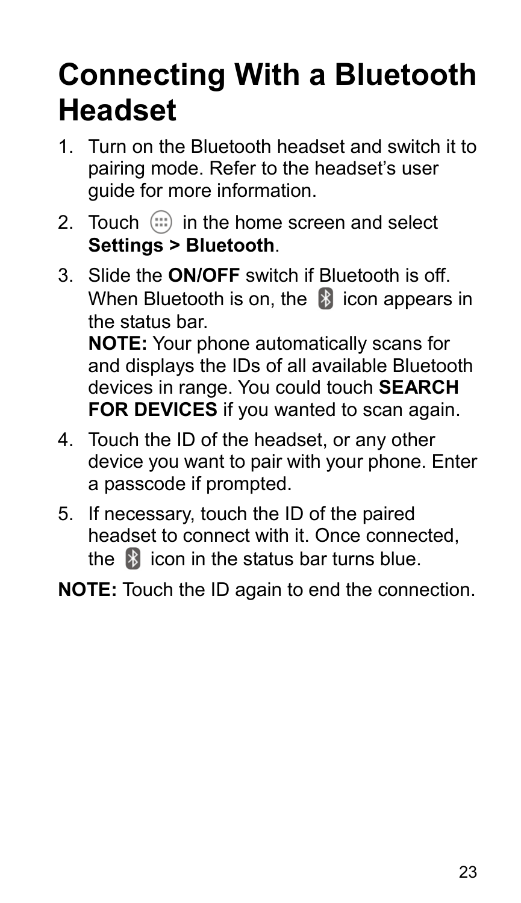## **Connecting With a Bluetooth Headset**

- 1. Turn on the Bluetooth headset and switch it to pairing mode. Refer to the headset's user quide for more information.
- 2. Touch  $\left(\mathbb{I}\right)$  in the home screen and select **Settings > Bluetooth**.
- 3. Slide the **ON/OFF** switch if Bluetooth is off. When Bluetooth is on, the  $\mathbb{R}$  icon appears in the status bar. **NOTE:** Your phone automatically scans for and displays the IDs of all available Bluetooth devices in range. You could touch **SEARCH FOR DEVICES** if you wanted to scan again.
- 4. Touch the ID of the headset, or any other device you want to pair with your phone. Enter a passcode if prompted.
- 5. If necessary, touch the ID of the paired headset to connect with it. Once connected, the  $\mathbb{R}$  icon in the status bar turns blue.
- **NOTE:** Touch the ID again to end the connection.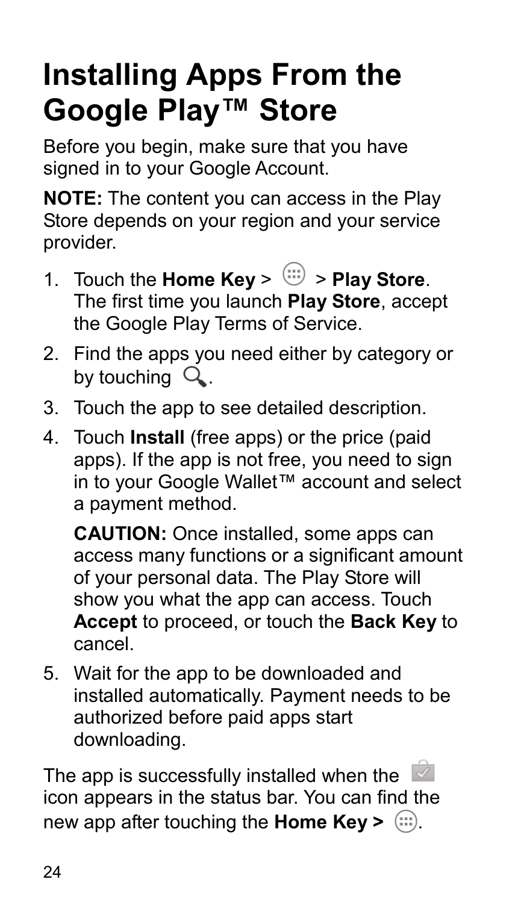## **Installing Apps From the Google Play™ Store**

Before you begin, make sure that you have signed in to your Google Account.

**NOTE:** The content you can access in the Play Store depends on your region and your service provider.

- 1. Touch the **Home Key** >  $\overline{m}$  > **Play Store**. The first time you launch **Play Store**, accept the Google Play Terms of Service.
- 2. Find the apps you need either by category or by touching  $Q$ .
- 3. Touch the app to see detailed description.
- 4. Touch **Install** (free apps) or the price (paid apps). If the app is not free, you need to sign in to your Google Wallet™ account and select a payment method.

**CAUTION:** Once installed, some apps can access many functions or a significant amount of your personal data. The Play Store will show you what the app can access. Touch **Accept** to proceed, or touch the **Back Key** to cancel.

5. Wait for the app to be downloaded and installed automatically. Payment needs to be authorized before paid apps start downloading.

The app is successfully installed when the  $\leq$ icon appears in the status bar. You can find the new app after touching the **Home Key >** .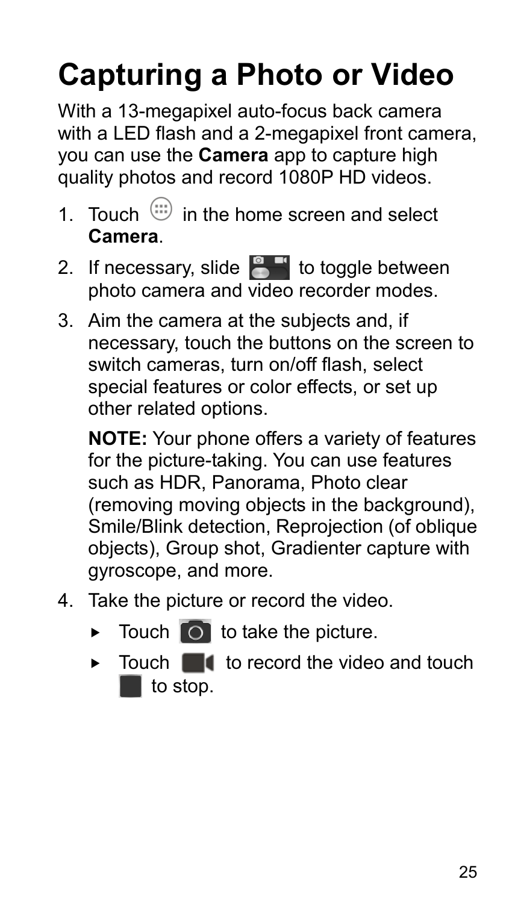# **Capturing a Photo or Video**

With a 13-megapixel auto-focus back camera with a LED flash and a 2-megapixel front camera. you can use the **Camera** app to capture high quality photos and record 1080P HD videos.

- 1. Touch  $\lim_{n \to \infty}$  in the home screen and select **Camera**.
- 2. If necessary, slide  $\bullet$  to toggle between photo camera and video recorder modes.
- 3. Aim the camera at the subjects and, if necessary, touch the buttons on the screen to switch cameras, turn on/off flash, select special features or color effects, or set up other related options.

**NOTE:** Your phone offers a variety of features for the picture-taking. You can use features such as HDR, Panorama, Photo clear (removing moving objects in the background), Smile/Blink detection, Reprojection (of oblique objects), Group shot, Gradienter capture with gyroscope, and more.

- 4. Take the picture or record the video.
	- $\triangleright$  Touch  $\circ$  to take the picture.
	- $\triangleright$  Touch  $\blacksquare$  to record the video and touch  $\blacksquare$  to stop.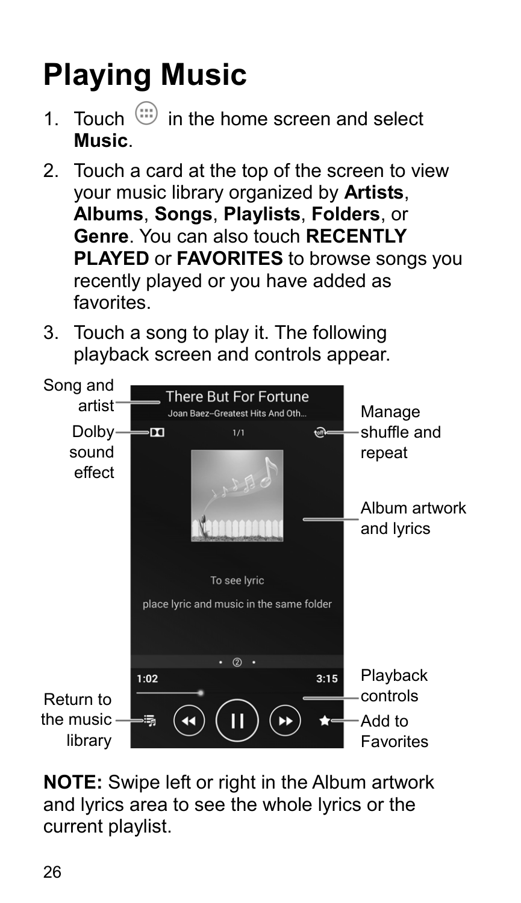# **Playing Music**

- 1. Touch  $\lim_{n \to \infty}$  in the home screen and select **Music**.
- 2. Touch a card at the top of the screen to view your music library organized by **Artists**, **Albums**, **Songs**, **Playlists**, **Folders**, or **Genre**. You can also touch **RECENTLY PLAYED** or **FAVORITES** to browse songs you recently played or you have added as favorites.
- 3. Touch a song to play it. The following playback screen and controls appear.



**NOTE:** Swipe left or right in the Album artwork and lyrics area to see the whole lyrics or the current playlist.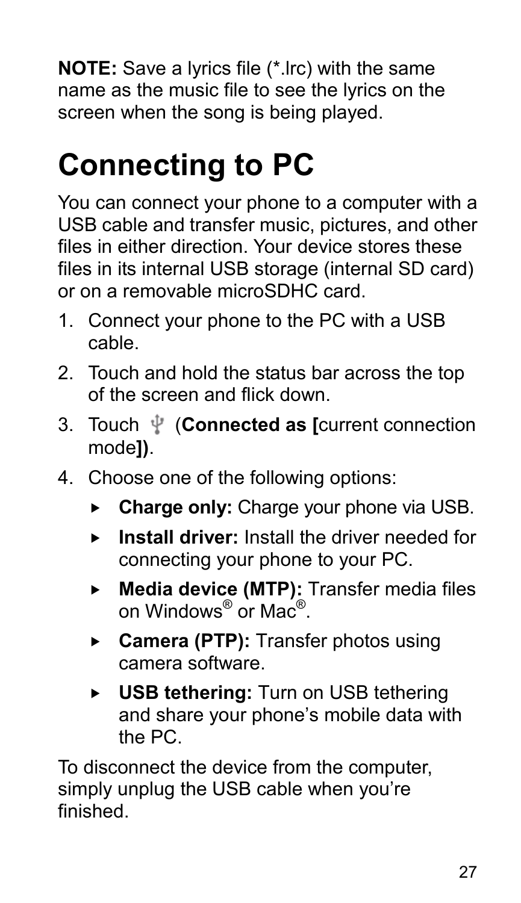**NOTE:** Save a lyrics file (\*.lrc) with the same name as the music file to see the lyrics on the screen when the song is being played.

## **Connecting to PC**

You can connect your phone to a computer with a USB cable and transfer music, pictures, and other files in either direction. Your device stores these files in its internal USB storage (internal SD card) or on a removable microSDHC card.

- 1. Connect your phone to the PC with a USB cable.
- 2. Touch and hold the status bar across the top of the screen and flick down.
- 3. Touch (**Connected as [**current connection mode**])**.
- 4. Choose one of the following options:
	- **Charge only:** Charge your phone via USB.
	- **Install driver:** Install the driver needed for connecting your phone to your PC.
	- **Media device (MTP):** Transfer media files on Windows® or Mac®.
	- **Camera (PTP):** Transfer photos using camera software.
	- **USB tethering:** Turn on USB tethering and share your phone's mobile data with the PC.

To disconnect the device from the computer, simply unplug the USB cable when you're finished.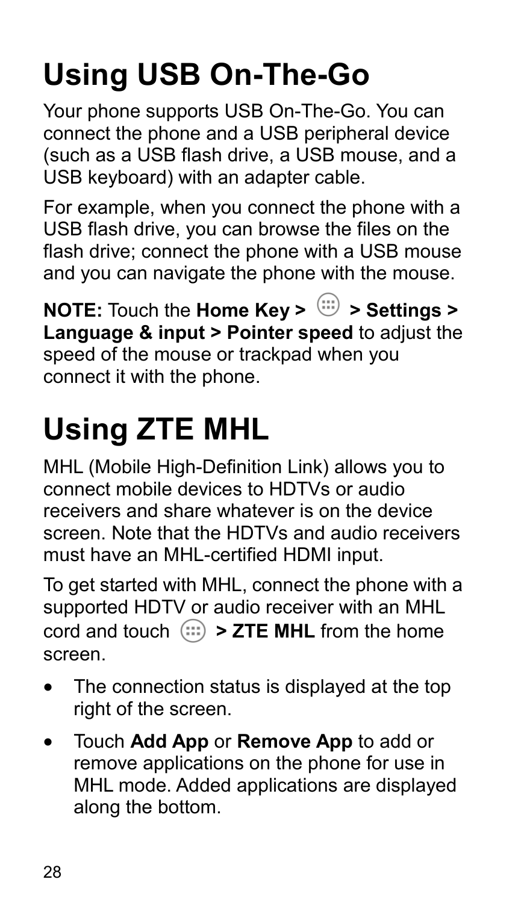# **Using USB On-The-Go**

Your phone supports USB On-The-Go. You can connect the phone and a USB peripheral device (such as a USB flash drive, a USB mouse, and a USB keyboard) with an adapter cable.

For example, when you connect the phone with a USB flash drive, you can browse the files on the flash drive; connect the phone with a USB mouse and you can navigate the phone with the mouse.

**NOTE:** Touch the **Home Key >**  $\overset{(ii)}{\Leftrightarrow}$  **> Settings > Language & input > Pointer speed** to adjust the speed of the mouse or trackpad when you connect it with the phone.

# **Using ZTE MHL**

MHL (Mobile High-Definition Link) allows you to connect mobile devices to HDTVs or audio receivers and share whatever is on the device screen. Note that the HDTVs and audio receivers must have an MHL-certified HDMI input.

To get started with MHL, connect the phone with a supported HDTV or audio receiver with an MHL cord and touch  $\cdots$  > ZTE MHL from the home screen.

- The connection status is displayed at the top right of the screen.
- Touch **Add App** or **Remove App** to add or remove applications on the phone for use in MHL mode. Added applications are displayed along the bottom.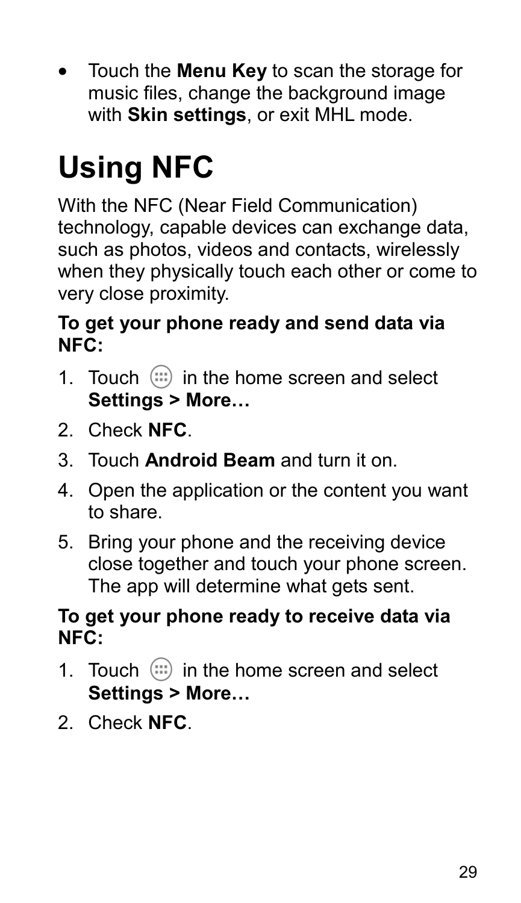Touch the **Menu Key** to scan the storage for music files, change the background image with **Skin settings**, or exit MHL mode.

# **Using NFC**

With the NFC (Near Field Communication) technology, capable devices can exchange data, such as photos, videos and contacts, wirelessly when they physically touch each other or come to very close proximity.

#### **To get your phone ready and send data via NFC:**

- 1. Touch  $(i)$  in the home screen and select **Settings > More…**
- 2. Check **NFC**.
- 3. Touch **Android Beam** and turn it on.
- 4. Open the application or the content you want to share.
- 5. Bring your phone and the receiving device close together and touch your phone screen. The app will determine what gets sent.

#### **To get your phone ready to receive data via NFC:**

- 1. Touch  $(i)$  in the home screen and select **Settings > More…**
- 2. Check **NFC**.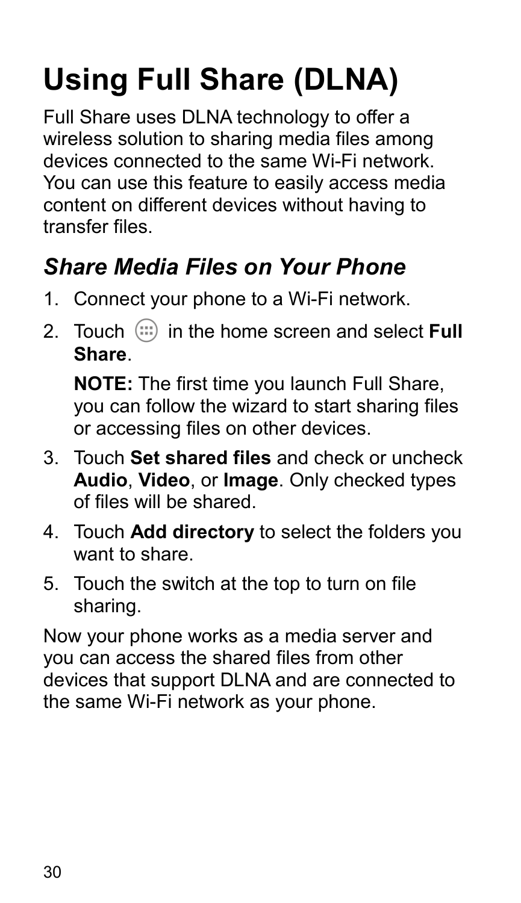# **Using Full Share (DLNA)**

Full Share uses DLNA technology to offer a wireless solution to sharing media files among devices connected to the same Wi-Fi network. You can use this feature to easily access media content on different devices without having to transfer files.

### *Share Media Files on Your Phone*

- 1. Connect your phone to a Wi-Fi network.
- 2. Touch  $\left(\mathbf{u}\right)$  in the home screen and select **Full Share**.

**NOTE:** The first time you launch Full Share, you can follow the wizard to start sharing files or accessing files on other devices.

- 3. Touch **Set shared files** and check or uncheck **Audio**, **Video**, or **Image**. Only checked types of files will be shared.
- 4. Touch **Add directory** to select the folders you want to share.
- 5. Touch the switch at the top to turn on file sharing.

Now your phone works as a media server and you can access the shared files from other devices that support DLNA and are connected to the same Wi-Fi network as your phone.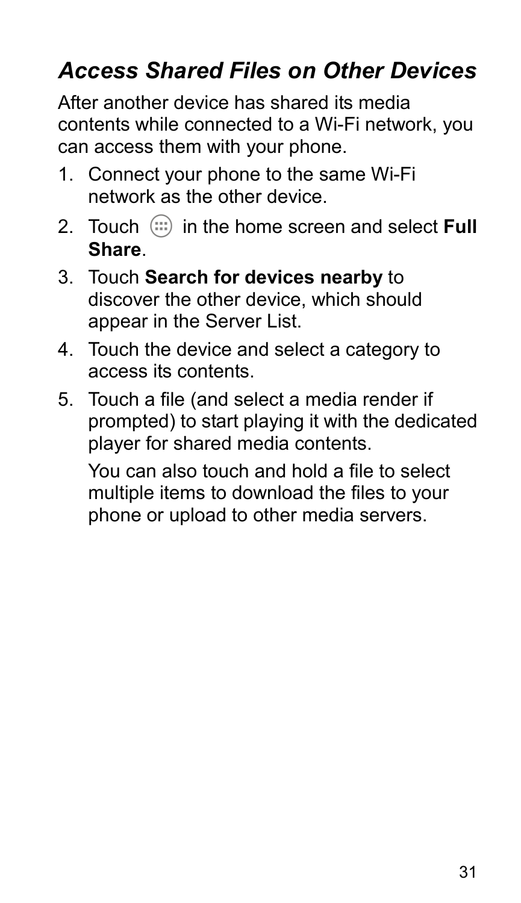### *Access Shared Files on Other Devices*

After another device has shared its media contents while connected to a Wi-Fi network, you can access them with your phone.

- 1. Connect your phone to the same Wi-Fi network as the other device.
- 2. Touch  $\left(\mathbf{ii}\right)$  in the home screen and select **Full Share**.
- 3. Touch **Search for devices nearby** to discover the other device, which should appear in the Server List.
- 4. Touch the device and select a category to access its contents.
- 5. Touch a file (and select a media render if prompted) to start playing it with the dedicated player for shared media contents.

You can also touch and hold a file to select multiple items to download the files to your phone or upload to other media servers.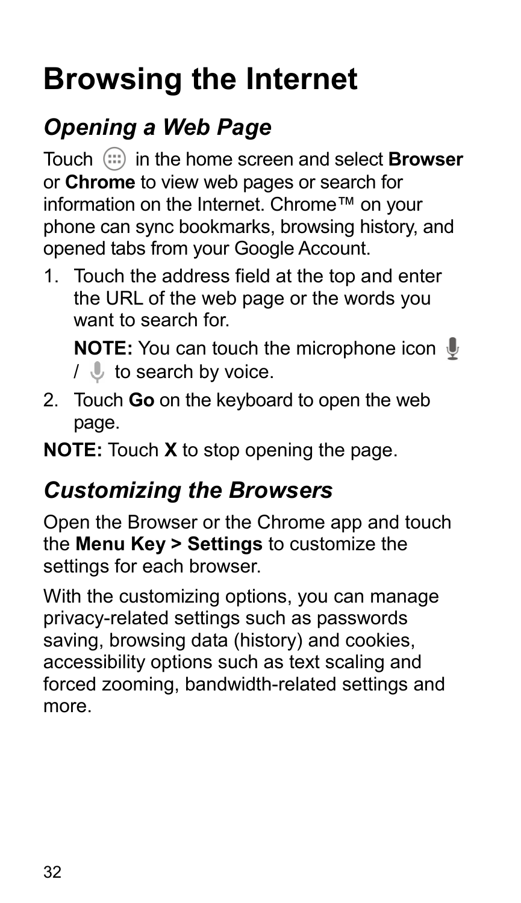## **Browsing the Internet**

### *Opening a Web Page*

Touch in the home screen and select **Browser** or **Chrome** to view web pages or search for information on the Internet. Chrome™ on your phone can sync bookmarks, browsing history, and opened tabs from your Google Account.

1. Touch the address field at the top and enter the URL of the web page or the words you want to search for

**NOTE:** You can touch the microphone icon  $\psi$  $\sqrt{ }$  to search by voice.

2. Touch **Go** on the keyboard to open the web page.

**NOTE:** Touch **X** to stop opening the page.

### *Customizing the Browsers*

Open the Browser or the Chrome app and touch the **Menu Key > Settings** to customize the settings for each browser.

With the customizing options, you can manage privacy-related settings such as passwords saving, browsing data (history) and cookies, accessibility options such as text scaling and forced zooming, bandwidth-related settings and more.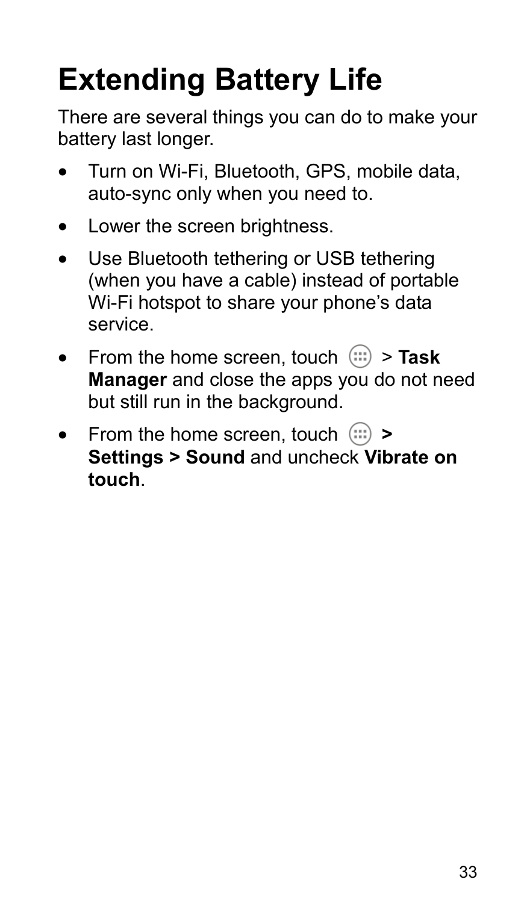# **Extending Battery Life**

There are several things you can do to make your battery last longer.

- Turn on Wi-Fi, Bluetooth, GPS, mobile data, auto-sync only when you need to.
- Lower the screen brightness.
- Use Bluetooth tethering or USB tethering (when you have a cable) instead of portable Wi-Fi hotspot to share your phone's data service.
- From the home screen, touch  $\cdots$  > Task **Manager** and close the apps you do not need but still run in the background.
- From the home screen, touch  $\left(\cdots\right)$  > **Settings > Sound** and uncheck **Vibrate on touch**.